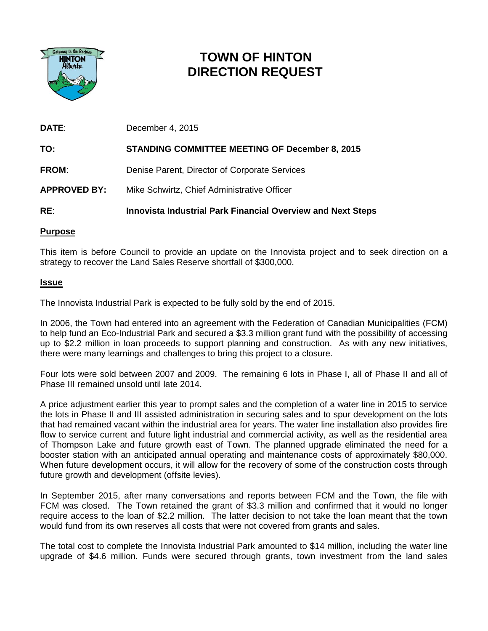

# **TOWN OF HINTON DIRECTION REQUEST**

| DATE:               | December 4, 2015                                                   |
|---------------------|--------------------------------------------------------------------|
| TO:                 | <b>STANDING COMMITTEE MEETING OF December 8, 2015</b>              |
| <b>FROM:</b>        | Denise Parent, Director of Corporate Services                      |
| <b>APPROVED BY:</b> | Mike Schwirtz, Chief Administrative Officer                        |
| RE:                 | <b>Innovista Industrial Park Financial Overview and Next Steps</b> |

## **Purpose**

This item is before Council to provide an update on the Innovista project and to seek direction on a strategy to recover the Land Sales Reserve shortfall of \$300,000.

## **Issue**

The Innovista Industrial Park is expected to be fully sold by the end of 2015.

In 2006, the Town had entered into an agreement with the Federation of Canadian Municipalities (FCM) to help fund an Eco-Industrial Park and secured a \$3.3 million grant fund with the possibility of accessing up to \$2.2 million in loan proceeds to support planning and construction. As with any new initiatives, there were many learnings and challenges to bring this project to a closure.

Four lots were sold between 2007 and 2009. The remaining 6 lots in Phase I, all of Phase II and all of Phase III remained unsold until late 2014.

A price adjustment earlier this year to prompt sales and the completion of a water line in 2015 to service the lots in Phase II and III assisted administration in securing sales and to spur development on the lots that had remained vacant within the industrial area for years. The water line installation also provides fire flow to service current and future light industrial and commercial activity, as well as the residential area of Thompson Lake and future growth east of Town. The planned upgrade eliminated the need for a booster station with an anticipated annual operating and maintenance costs of approximately \$80,000. When future development occurs, it will allow for the recovery of some of the construction costs through future growth and development (offsite levies).

In September 2015, after many conversations and reports between FCM and the Town, the file with FCM was closed. The Town retained the grant of \$3.3 million and confirmed that it would no longer require access to the loan of \$2.2 million. The latter decision to not take the loan meant that the town would fund from its own reserves all costs that were not covered from grants and sales.

The total cost to complete the Innovista Industrial Park amounted to \$14 million, including the water line upgrade of \$4.6 million. Funds were secured through grants, town investment from the land sales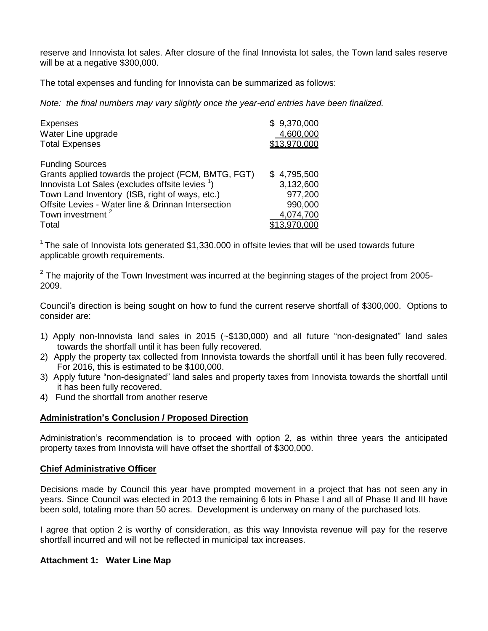reserve and Innovista lot sales. After closure of the final Innovista lot sales, the Town land sales reserve will be at a negative \$300,000.

The total expenses and funding for Innovista can be summarized as follows:

*Note: the final numbers may vary slightly once the year-end entries have been finalized.*

| <b>Expenses</b><br>Water Line upgrade                       | \$9,370,000<br>4,600,000 |
|-------------------------------------------------------------|--------------------------|
| <b>Total Expenses</b>                                       | \$13.970.000             |
| <b>Funding Sources</b>                                      |                          |
| Grants applied towards the project (FCM, BMTG, FGT)         | \$4,795,500              |
| Innovista Lot Sales (excludes offsite levies <sup>1</sup> ) | 3,132,600                |
| Town Land Inventory (ISB, right of ways, etc.)              | 977,200                  |
| Offsite Levies - Water line & Drinnan Intersection          | 990,000                  |
| Town investment <sup>2</sup>                                | 4,074,700                |
| Total                                                       | <u>13,970,000</u>        |

 $1$ The sale of Innovista lots generated \$1,330.000 in offsite levies that will be used towards future applicable growth requirements.

 $2$  The majority of the Town Investment was incurred at the beginning stages of the project from 2005-2009.

Council's direction is being sought on how to fund the current reserve shortfall of \$300,000. Options to consider are:

- 1) Apply non-Innovista land sales in 2015 (~\$130,000) and all future "non-designated" land sales towards the shortfall until it has been fully recovered.
- 2) Apply the property tax collected from Innovista towards the shortfall until it has been fully recovered. For 2016, this is estimated to be \$100,000.
- 3) Apply future "non-designated" land sales and property taxes from Innovista towards the shortfall until it has been fully recovered.
- 4) Fund the shortfall from another reserve

## **Administration's Conclusion / Proposed Direction**

Administration's recommendation is to proceed with option 2, as within three years the anticipated property taxes from Innovista will have offset the shortfall of \$300,000.

#### **Chief Administrative Officer**

Decisions made by Council this year have prompted movement in a project that has not seen any in years. Since Council was elected in 2013 the remaining 6 lots in Phase I and all of Phase II and III have been sold, totaling more than 50 acres. Development is underway on many of the purchased lots.

I agree that option 2 is worthy of consideration, as this way Innovista revenue will pay for the reserve shortfall incurred and will not be reflected in municipal tax increases.

#### **Attachment 1: Water Line Map**